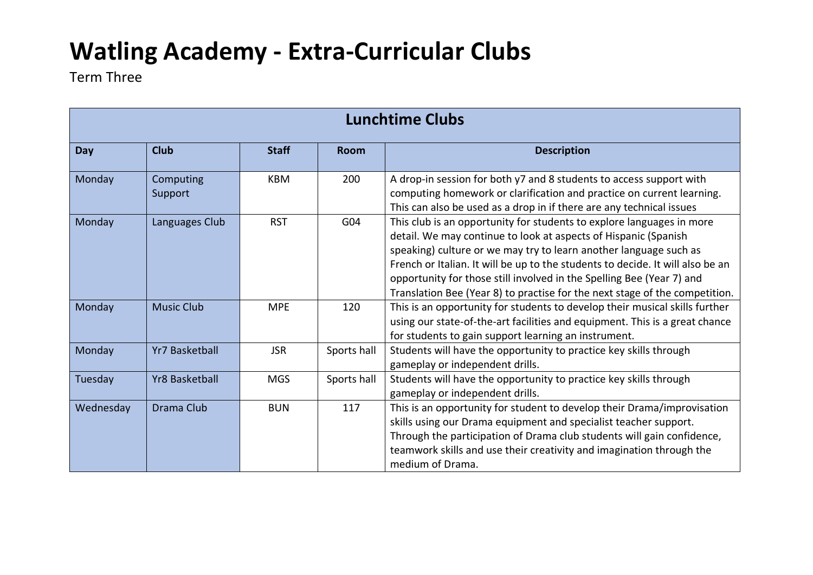# **Watling Academy - Extra-Curricular Clubs**

Term Three

| <b>Lunchtime Clubs</b> |                       |              |                 |                                                                                                                                                                                                                                                                                                                                                                                                                                                         |  |  |
|------------------------|-----------------------|--------------|-----------------|---------------------------------------------------------------------------------------------------------------------------------------------------------------------------------------------------------------------------------------------------------------------------------------------------------------------------------------------------------------------------------------------------------------------------------------------------------|--|--|
| Day                    | <b>Club</b>           | <b>Staff</b> | <b>Room</b>     | <b>Description</b>                                                                                                                                                                                                                                                                                                                                                                                                                                      |  |  |
| Monday                 | Computing<br>Support  | <b>KBM</b>   | 200             | A drop-in session for both y7 and 8 students to access support with<br>computing homework or clarification and practice on current learning.<br>This can also be used as a drop in if there are any technical issues                                                                                                                                                                                                                                    |  |  |
| Monday                 | Languages Club        | <b>RST</b>   | G <sub>04</sub> | This club is an opportunity for students to explore languages in more<br>detail. We may continue to look at aspects of Hispanic (Spanish<br>speaking) culture or we may try to learn another language such as<br>French or Italian. It will be up to the students to decide. It will also be an<br>opportunity for those still involved in the Spelling Bee (Year 7) and<br>Translation Bee (Year 8) to practise for the next stage of the competition. |  |  |
| Monday                 | <b>Music Club</b>     | <b>MPE</b>   | 120             | This is an opportunity for students to develop their musical skills further<br>using our state-of-the-art facilities and equipment. This is a great chance<br>for students to gain support learning an instrument.                                                                                                                                                                                                                                      |  |  |
| Monday                 | <b>Yr7 Basketball</b> | <b>JSR</b>   | Sports hall     | Students will have the opportunity to practice key skills through<br>gameplay or independent drills.                                                                                                                                                                                                                                                                                                                                                    |  |  |
| Tuesday                | <b>Yr8 Basketball</b> | <b>MGS</b>   | Sports hall     | Students will have the opportunity to practice key skills through<br>gameplay or independent drills.                                                                                                                                                                                                                                                                                                                                                    |  |  |
| Wednesday              | Drama Club            | <b>BUN</b>   | 117             | This is an opportunity for student to develop their Drama/improvisation<br>skills using our Drama equipment and specialist teacher support.<br>Through the participation of Drama club students will gain confidence,<br>teamwork skills and use their creativity and imagination through the<br>medium of Drama.                                                                                                                                       |  |  |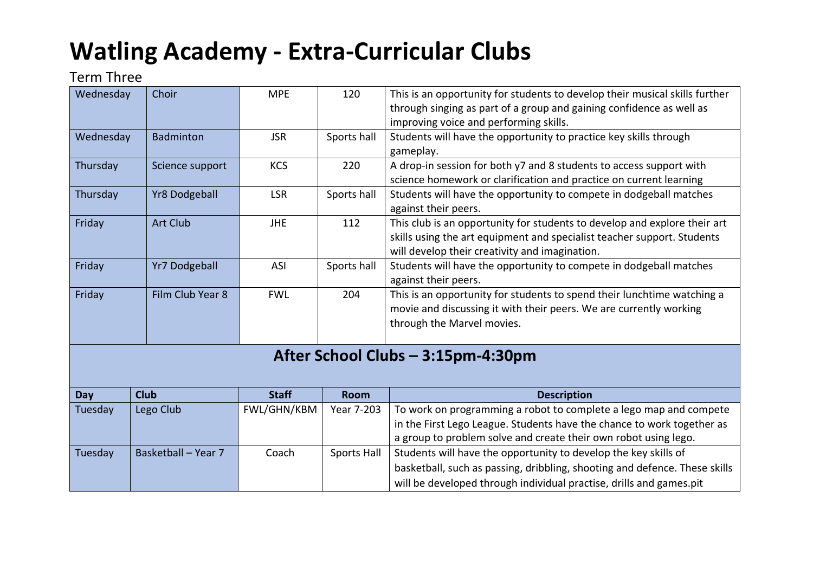# **Watling Academy - Extra-Curricular Clubs**

### Term Three

| Wednesday                          | Choir                | <b>MPE</b>   | 120         | This is an opportunity for students to develop their musical skills further<br>through singing as part of a group and gaining confidence as well as<br>improving voice and performing skills.                        |  |  |
|------------------------------------|----------------------|--------------|-------------|----------------------------------------------------------------------------------------------------------------------------------------------------------------------------------------------------------------------|--|--|
| Wednesday                          | <b>Badminton</b>     | <b>JSR</b>   | Sports hall | Students will have the opportunity to practice key skills through<br>gameplay.                                                                                                                                       |  |  |
| Thursday                           | Science support      | <b>KCS</b>   | 220         | A drop-in session for both y7 and 8 students to access support with<br>science homework or clarification and practice on current learning                                                                            |  |  |
| Thursday                           | <b>Yr8 Dodgeball</b> | <b>LSR</b>   | Sports hall | Students will have the opportunity to compete in dodgeball matches<br>against their peers.                                                                                                                           |  |  |
| Friday                             | <b>Art Club</b>      | <b>JHE</b>   | 112         | This club is an opportunity for students to develop and explore their art<br>skills using the art equipment and specialist teacher support. Students<br>will develop their creativity and imagination.               |  |  |
| Friday                             | <b>Yr7 Dodgeball</b> | ASI          | Sports hall | Students will have the opportunity to compete in dodgeball matches<br>against their peers.                                                                                                                           |  |  |
| Friday                             | Film Club Year 8     | <b>FWL</b>   | 204         | This is an opportunity for students to spend their lunchtime watching a<br>movie and discussing it with their peers. We are currently working<br>through the Marvel movies.                                          |  |  |
| After School Clubs - 3:15pm-4:30pm |                      |              |             |                                                                                                                                                                                                                      |  |  |
| Day                                | <b>Club</b>          | <b>Staff</b> | <b>Room</b> | <b>Description</b>                                                                                                                                                                                                   |  |  |
| Tuesday                            | Lego Club            | FWL/GHN/KBM  | Year 7-203  | To work on programming a robot to complete a lego map and compete<br>in the First Lego League. Students have the chance to work together as<br>a group to problem solve and create their own robot using lego.       |  |  |
| Tuesday                            | Basketball - Year 7  | Coach        | Sports Hall | Students will have the opportunity to develop the key skills of<br>basketball, such as passing, dribbling, shooting and defence. These skills<br>will be developed through individual practise, drills and games.pit |  |  |